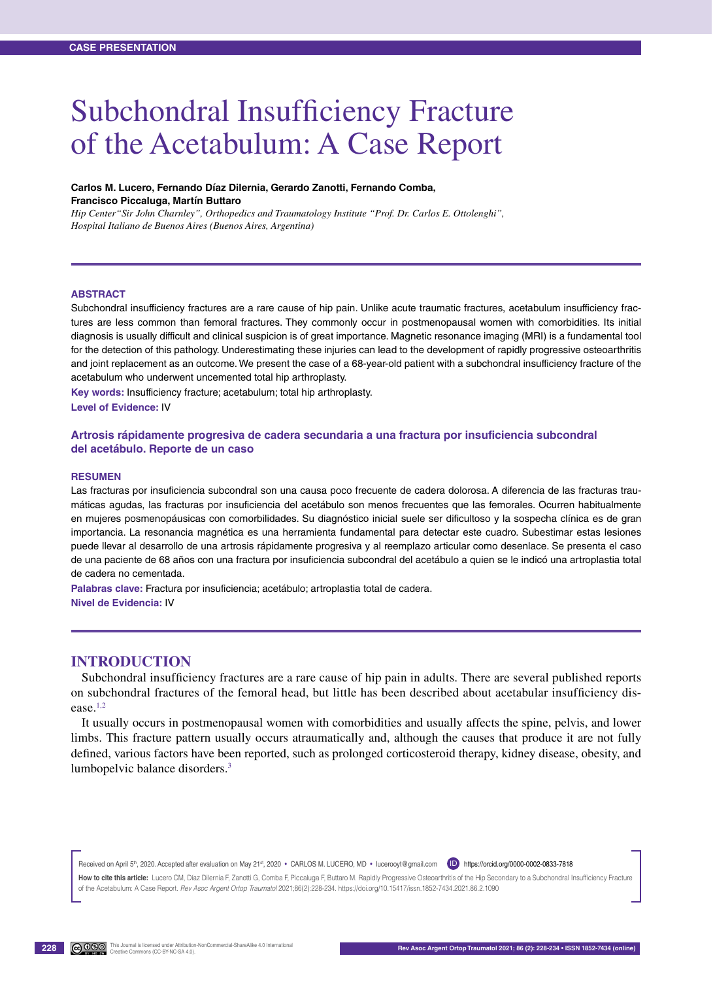# Subchondral Insufficiency Fracture of the Acetabulum: A Case Report

#### **Carlos M. Lucero, Fernando Díaz Dilernia, Gerardo Zanotti, Fernando Comba, Francisco Piccaluga, Martín Buttaro**

*Hip Center"Sir John Charnley", Orthopedics and Traumatology Institute "Prof. Dr. Carlos E. Ottolenghi", Hospital Italiano de Buenos Aires (Buenos Aires, Argentina)*

### **Abstract**

Subchondral insufficiency fractures are a rare cause of hip pain. Unlike acute traumatic fractures, acetabulum insufficiency fractures are less common than femoral fractures. They commonly occur in postmenopausal women with comorbidities. Its initial diagnosis is usually difficult and clinical suspicion is of great importance. Magnetic resonance imaging (MRI) is a fundamental tool for the detection of this pathology. Underestimating these injuries can lead to the development of rapidly progressive osteoarthritis and joint replacement as an outcome. We present the case of a 68-year-old patient with a subchondral insufficiency fracture of the acetabulum who underwent uncemented total hip arthroplasty.

**Key words:** Insufficiency fracture; acetabulum; total hip arthroplasty.

**Level of Evidence:** IV

## **Artrosis rápidamente progresiva de cadera secundaria a una fractura por insuficiencia subcondral del acetábulo. Reporte de un caso**

#### **Resumen**

Las fracturas por insuficiencia subcondral son una causa poco frecuente de cadera dolorosa. A diferencia de las fracturas traumáticas agudas, las fracturas por insuficiencia del acetábulo son menos frecuentes que las femorales. Ocurren habitualmente en mujeres posmenopáusicas con comorbilidades. Su diagnóstico inicial suele ser dificultoso y la sospecha clínica es de gran importancia. La resonancia magnética es una herramienta fundamental para detectar este cuadro. Subestimar estas lesiones puede llevar al desarrollo de una artrosis rápidamente progresiva y al reemplazo articular como desenlace. Se presenta el caso de una paciente de 68 años con una fractura por insuficiencia subcondral del acetábulo a quien se le indicó una artroplastia total de cadera no cementada.

**Palabras clave:** Fractura por insuficiencia; acetábulo; artroplastia total de cadera. **Nivel de Evidencia:** IV

## **Introduction**

Subchondral insufficiency fractures are a rare cause of hip pain in adults. There are several published reports on subchondral fractures of the femoral head, but little has been described about acetabular insufficiency disease.1,2

It usually occurs in postmenopausal women with comorbidities and usually affects the spine, pelvis, and lower limbs. This fracture pattern usually occurs atraumatically and, although the causes that produce it are not fully defined, various factors have been reported, such as prolonged corticosteroid therapy, kidney disease, obesity, and lumbopelvic balance disorders.<sup>3</sup>

Received on April 5<sup>th</sup>, 2020. Accepted after evaluation on May 21<sup>st</sup>, 2020 • CARLOS M. LUCERO, MD • lucerooyt@gmail.com (ID) https://orcid.org/0000-0002-0833-7818

How to cite this article: Lucero CM, Díaz Dilernia F, Zanotti G, Comba F, Piccaluga F, Buttaro M. Rapidly Progressive Osteoarthritis of the Hip Secondary to a Subchondral Insufficiency Fracture of the Acetabulum: A Case Report. *Rev Asoc Argent Ortop Traumatol* 2021;86(2):228-234. https://doi.org/10.15417/issn.1852-7434.2021.86.2.1090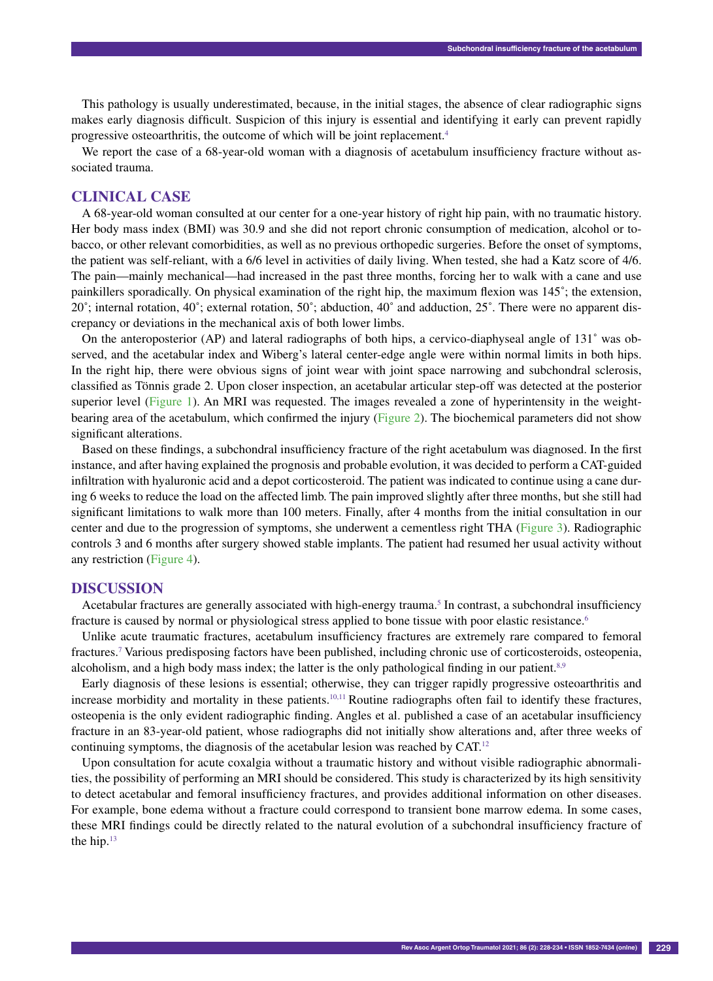This pathology is usually underestimated, because, in the initial stages, the absence of clear radiographic signs makes early diagnosis difficult. Suspicion of this injury is essential and identifying it early can prevent rapidly progressive osteoarthritis, the outcome of which will be joint replacement.4

We report the case of a 68-year-old woman with a diagnosis of acetabulum insufficiency fracture without associated trauma.

## **Clinical Case**

A 68-year-old woman consulted at our center for a one-year history of right hip pain, with no traumatic history. Her body mass index (BMI) was 30.9 and she did not report chronic consumption of medication, alcohol or tobacco, or other relevant comorbidities, as well as no previous orthopedic surgeries. Before the onset of symptoms, the patient was self-reliant, with a 6/6 level in activities of daily living. When tested, she had a Katz score of 4/6. The pain—mainly mechanical—had increased in the past three months, forcing her to walk with a cane and use painkillers sporadically. On physical examination of the right hip, the maximum flexion was 145˚; the extension,  $20^\circ$ ; internal rotation,  $40^\circ$ ; external rotation,  $50^\circ$ ; abduction,  $40^\circ$  and adduction,  $25^\circ$ . There were no apparent discrepancy or deviations in the mechanical axis of both lower limbs.

On the anteroposterior (AP) and lateral radiographs of both hips, a cervico-diaphyseal angle of 131˚ was observed, and the acetabular index and Wiberg's lateral center-edge angle were within normal limits in both hips. In the right hip, there were obvious signs of joint wear with joint space narrowing and subchondral sclerosis, classified as Tönnis grade 2. Upon closer inspection, an acetabular articular step-off was detected at the posterior superior level (Figure 1). An MRI was requested. The images revealed a zone of hyperintensity in the weightbearing area of the acetabulum, which confirmed the injury (Figure 2). The biochemical parameters did not show significant alterations.

Based on these findings, a subchondral insufficiency fracture of the right acetabulum was diagnosed. In the first instance, and after having explained the prognosis and probable evolution, it was decided to perform a CAT-guided infiltration with hyaluronic acid and a depot corticosteroid. The patient was indicated to continue using a cane during 6 weeks to reduce the load on the affected limb. The pain improved slightly after three months, but she still had significant limitations to walk more than 100 meters. Finally, after 4 months from the initial consultation in our center and due to the progression of symptoms, she underwent a cementless right THA (Figure 3). Radiographic controls 3 and 6 months after surgery showed stable implants. The patient had resumed her usual activity without any restriction (Figure 4).

## **Discussion**

Acetabular fractures are generally associated with high-energy trauma.<sup>5</sup> In contrast, a subchondral insufficiency fracture is caused by normal or physiological stress applied to bone tissue with poor elastic resistance.6

Unlike acute traumatic fractures, acetabulum insufficiency fractures are extremely rare compared to femoral fractures.7 Various predisposing factors have been published, including chronic use of corticosteroids, osteopenia, alcoholism, and a high body mass index; the latter is the only pathological finding in our patient.<sup>8,9</sup>

Early diagnosis of these lesions is essential; otherwise, they can trigger rapidly progressive osteoarthritis and increase morbidity and mortality in these patients.10,11 Routine radiographs often fail to identify these fractures, osteopenia is the only evident radiographic finding. Angles et al. published a case of an acetabular insufficiency fracture in an 83-year-old patient, whose radiographs did not initially show alterations and, after three weeks of continuing symptoms, the diagnosis of the acetabular lesion was reached by CAT.12

Upon consultation for acute coxalgia without a traumatic history and without visible radiographic abnormalities, the possibility of performing an MRI should be considered. This study is characterized by its high sensitivity to detect acetabular and femoral insufficiency fractures, and provides additional information on other diseases. For example, bone edema without a fracture could correspond to transient bone marrow edema. In some cases, these MRI findings could be directly related to the natural evolution of a subchondral insufficiency fracture of the hip.13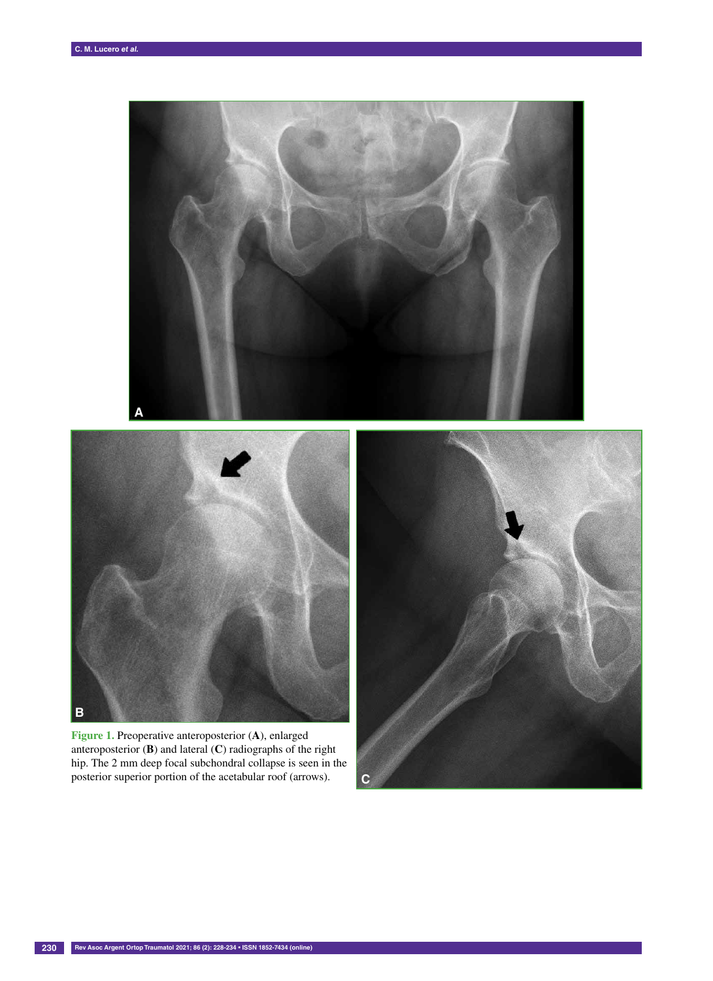

**230 Rev Asoc Argent Ortop Traumatol 2021; 86 (2): 228-234 • ISSN 1852-7434 (online)**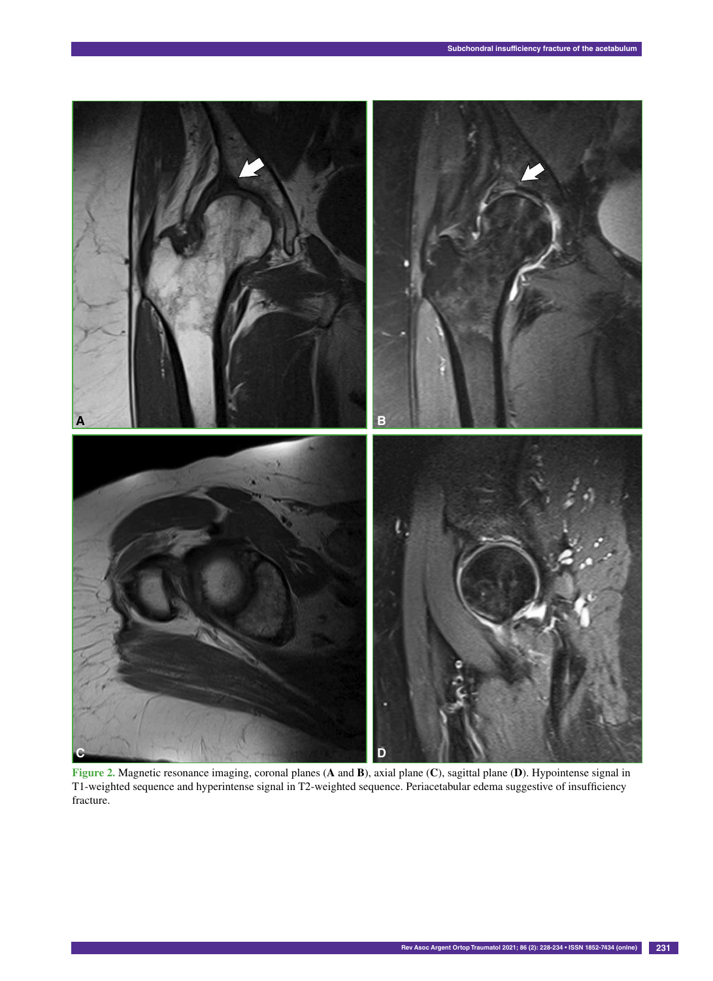

**Figure 2.** Magnetic resonance imaging, coronal planes (**A** and **B**), axial plane (**C**), sagittal plane (**D**). Hypointense signal in T1-weighted sequence and hyperintense signal in T2-weighted sequence. Periacetabular edema suggestive of insufficiency fracture.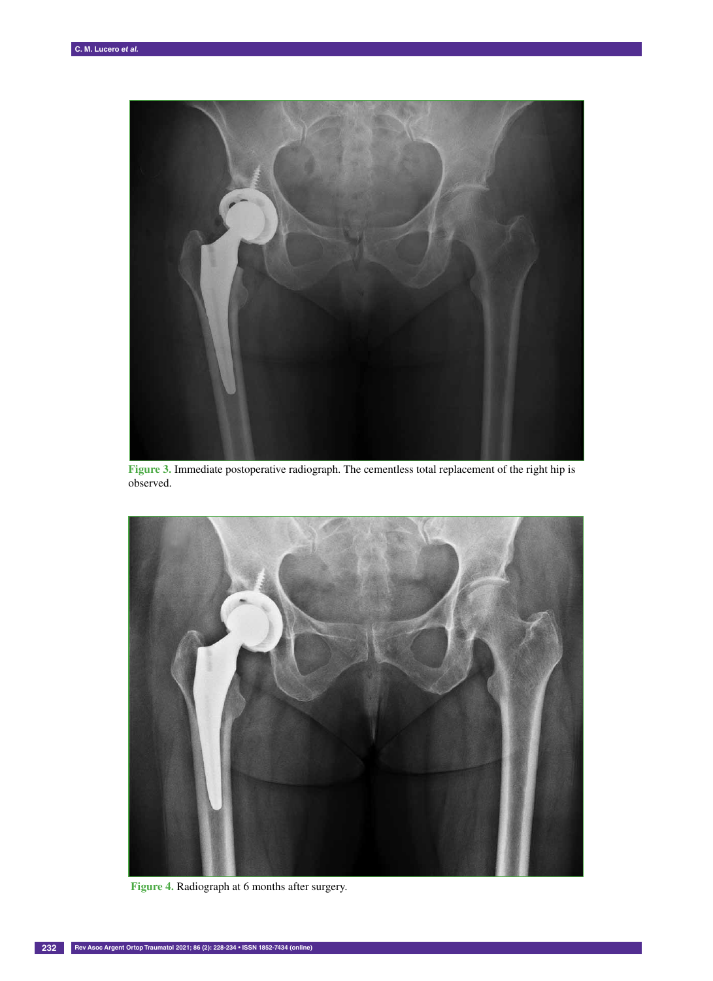

**Figure 3.** Immediate postoperative radiograph. The cementless total replacement of the right hip is observed.



**Figure 4.** Radiograph at 6 months after surgery.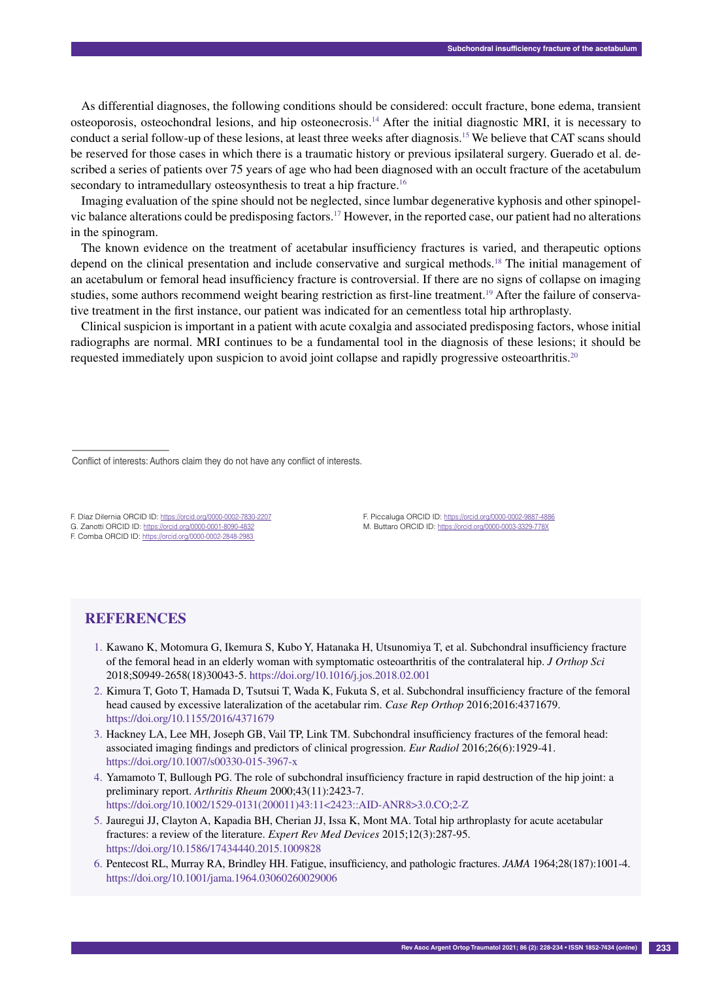As differential diagnoses, the following conditions should be considered: occult fracture, bone edema, transient osteoporosis, osteochondral lesions, and hip osteonecrosis.14 After the initial diagnostic MRI, it is necessary to conduct a serial follow-up of these lesions, at least three weeks after diagnosis.15 We believe that CAT scans should be reserved for those cases in which there is a traumatic history or previous ipsilateral surgery. Guerado et al. described a series of patients over 75 years of age who had been diagnosed with an occult fracture of the acetabulum secondary to intramedullary osteosynthesis to treat a hip fracture.<sup>16</sup>

Imaging evaluation of the spine should not be neglected, since lumbar degenerative kyphosis and other spinopelvic balance alterations could be predisposing factors.17 However, in the reported case, our patient had no alterations in the spinogram.

The known evidence on the treatment of acetabular insufficiency fractures is varied, and therapeutic options depend on the clinical presentation and include conservative and surgical methods.18 The initial management of an acetabulum or femoral head insufficiency fracture is controversial. If there are no signs of collapse on imaging studies, some authors recommend weight bearing restriction as first-line treatment.19 After the failure of conservative treatment in the first instance, our patient was indicated for an cementless total hip arthroplasty.

Clinical suspicion is important in a patient with acute coxalgia and associated predisposing factors, whose initial radiographs are normal. MRI continues to be a fundamental tool in the diagnosis of these lesions; it should be requested immediately upon suspicion to avoid joint collapse and rapidly progressive osteoarthritis.<sup>20</sup>

Conflict of interests: Authors claim they do not have any conflict of interests.

F. Díaz Dilernia ORCID ID: https://orcid.org/0000-0002-7830-2207 G. Zanotti ORCID ID: https://orcid.org/0000-0001-8090-4832 F. Comba ORCID ID: https://orcid.org/0000-0002-2848-2983

```
F. Piccaluga ORCID ID: https://orcid.org/0000-0002-9887-4886
M. Buttaro ORCID ID: https://orcid.org/0000-0003-3329-778X
```
# **References**

––––––––––––––––––

- 1. Kawano K, Motomura G, Ikemura S, Kubo Y, Hatanaka H, Utsunomiya T, et al. Subchondral insufficiency fracture of the femoral head in an elderly woman with symptomatic osteoarthritis of the contralateral hip. *J Orthop Sci* 2018;S0949-2658(18)30043-5. https://doi.org/10.1016/j.jos.2018.02.001
- 2. Kimura T, Goto T, Hamada D, Tsutsui T, Wada K, Fukuta S, et al. Subchondral insufficiency fracture of the femoral head caused by excessive lateralization of the acetabular rim. *Case Rep Orthop* 2016;2016:4371679. https://doi.org/10.1155/2016/4371679
- 3. Hackney LA, Lee MH, Joseph GB, Vail TP, Link TM. Subchondral insufficiency fractures of the femoral head: associated imaging findings and predictors of clinical progression. *Eur Radiol* 2016;26(6):1929-41. https://doi.org/10.1007/s00330-015-3967-x
- 4. Yamamoto T, Bullough PG. The role of subchondral insufficiency fracture in rapid destruction of the hip joint: a preliminary report. *Arthritis Rheum* 2000;43(11):2423-7. https://doi.org/10.1002/1529-0131(200011)43:11<2423::AID-ANR8>3.0.CO;2-Z
- 5. Jauregui JJ, Clayton A, Kapadia BH, Cherian JJ, Issa K, Mont MA. Total hip arthroplasty for acute acetabular fractures: a review of the literature. *Expert Rev Med Devices* 2015;12(3):287-95. https://doi.org/10.1586/17434440.2015.1009828
- 6. Pentecost RL, Murray RA, Brindley HH. Fatigue, insufficiency, and pathologic fractures. *JAMA* 1964;28(187):1001-4. https://doi.org/10.1001/jama.1964.03060260029006